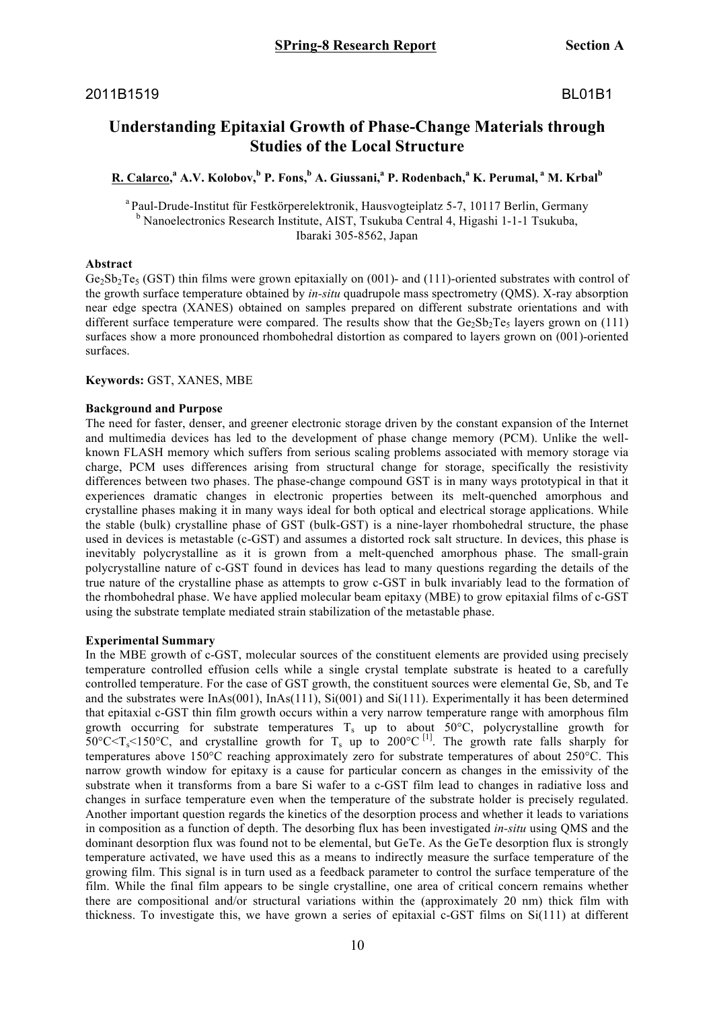# **Understanding Epitaxial Growth of Phase-Change Materials through Studies of the Local Structure**

## **R. Calarco, <sup>a</sup> A.V. Kolobov,<sup>b</sup> P. Fons,<sup>b</sup> A. Giussani,<sup>a</sup> P. Rodenbach,<sup>a</sup> K. Perumal, <sup>a</sup> M. Krbal<sup>b</sup>**

<sup>a</sup> Paul-Drude-Institut für Festkörperelektronik, Hausvogteiplatz 5-7, 10117 Berlin, Germany b Nanoelectronics Research Institute, AIST, Tsukuba Central 4, Higashi 1-1-1 Tsukuba, Ibaraki 305-8562, Japan

#### **Abstract**

 $Ge_2Sb_2Te_5$  (GST) thin films were grown epitaxially on (001)- and (111)-oriented substrates with control of the growth surface temperature obtained by *in-situ* quadrupole mass spectrometry (QMS). X-ray absorption near edge spectra (XANES) obtained on samples prepared on different substrate orientations and with different surface temperature were compared. The results show that the  $GeSb<sub>2</sub>Te<sub>5</sub>$  layers grown on (111) surfaces show a more pronounced rhombohedral distortion as compared to layers grown on (001)-oriented surfaces.

#### **Keywords:** GST, XANES, MBE

### **Background and Purpose**

The need for faster, denser, and greener electronic storage driven by the constant expansion of the Internet and multimedia devices has led to the development of phase change memory (PCM). Unlike the wellknown FLASH memory which suffers from serious scaling problems associated with memory storage via charge, PCM uses differences arising from structural change for storage, specifically the resistivity differences between two phases. The phase-change compound GST is in many ways prototypical in that it experiences dramatic changes in electronic properties between its melt-quenched amorphous and crystalline phases making it in many ways ideal for both optical and electrical storage applications. While the stable (bulk) crystalline phase of GST (bulk-GST) is a nine-layer rhombohedral structure, the phase used in devices is metastable (c-GST) and assumes a distorted rock salt structure. In devices, this phase is inevitably polycrystalline as it is grown from a melt-quenched amorphous phase. The small-grain polycrystalline nature of c-GST found in devices has lead to many questions regarding the details of the true nature of the crystalline phase as attempts to grow c-GST in bulk invariably lead to the formation of the rhombohedral phase. We have applied molecular beam epitaxy (MBE) to grow epitaxial films of c-GST using the substrate template mediated strain stabilization of the metastable phase.

#### **Experimental Summary**

In the MBE growth of c-GST, molecular sources of the constituent elements are provided using precisely temperature controlled effusion cells while a single crystal template substrate is heated to a carefully controlled temperature. For the case of GST growth, the constituent sources were elemental Ge, Sb, and Te and the substrates were InAs(001), InAs(111), Si(001) and Si(111). Experimentally it has been determined that epitaxial c-GST thin film growth occurs within a very narrow temperature range with amorphous film growth occurring for substrate temperatures  $T_s$  up to about 50°C, polycrystalline growth for  $50^{\circ}$ C $\lt T_s$  $150^{\circ}$ C, and crystalline growth for T<sub>s</sub> up to 200°C<sup>[1]</sup>. The growth rate falls sharply for temperatures above 150°C reaching approximately zero for substrate temperatures of about 250°C. This narrow growth window for epitaxy is a cause for particular concern as changes in the emissivity of the substrate when it transforms from a bare Si wafer to a c-GST film lead to changes in radiative loss and changes in surface temperature even when the temperature of the substrate holder is precisely regulated. Another important question regards the kinetics of the desorption process and whether it leads to variations in composition as a function of depth. The desorbing flux has been investigated *in-situ* using QMS and the dominant desorption flux was found not to be elemental, but GeTe. As the GeTe desorption flux is strongly temperature activated, we have used this as a means to indirectly measure the surface temperature of the growing film. This signal is in turn used as a feedback parameter to control the surface temperature of the film. While the final film appears to be single crystalline, one area of critical concern remains whether there are compositional and/or structural variations within the (approximately 20 nm) thick film with thickness. To investigate this, we have grown a series of epitaxial c-GST films on Si(111) at different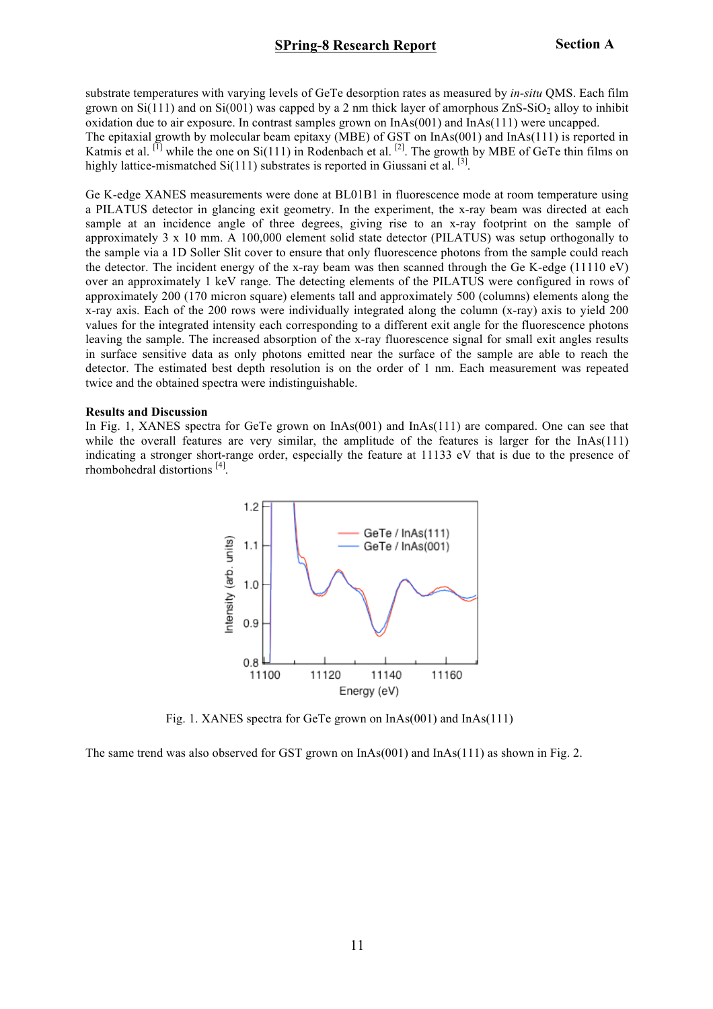substrate temperatures with varying levels of GeTe desorption rates as measured by *in-situ* QMS. Each film grown on  $Si(111)$  and on  $Si(001)$  was capped by a 2 nm thick layer of amorphous  $ZnS-SiO<sub>2</sub>$  alloy to inhibit oxidation due to air exposure. In contrast samples grown on InAs(001) and InAs(111) were uncapped. The epitaxial growth by molecular beam epitaxy (MBE) of GST on InAs(001) and InAs(111) is reported in Katmis et al. <sup>[1]</sup> while the one on Si(111) in Rodenbach et al. <sup>[2]</sup>. The growth by MBE of GeTe thin films on highly lattice-mismatched  $Si(111)$  substrates is reported in Giussani et al. <sup>[3]</sup>.

Ge K-edge XANES measurements were done at BL01B1 in fluorescence mode at room temperature using a PILATUS detector in glancing exit geometry. In the experiment, the x-ray beam was directed at each sample at an incidence angle of three degrees, giving rise to an x-ray footprint on the sample of approximately 3 x 10 mm. A 100,000 element solid state detector (PILATUS) was setup orthogonally to the sample via a 1D Soller Slit cover to ensure that only fluorescence photons from the sample could reach the detector. The incident energy of the x-ray beam was then scanned through the Ge K-edge (11110 eV) over an approximately 1 keV range. The detecting elements of the PILATUS were configured in rows of approximately 200 (170 micron square) elements tall and approximately 500 (columns) elements along the x-ray axis. Each of the 200 rows were individually integrated along the column (x-ray) axis to yield 200 values for the integrated intensity each corresponding to a different exit angle for the fluorescence photons leaving the sample. The increased absorption of the x-ray fluorescence signal for small exit angles results in surface sensitive data as only photons emitted near the surface of the sample are able to reach the detector. The estimated best depth resolution is on the order of 1 nm. Each measurement was repeated twice and the obtained spectra were indistinguishable.

#### **Results and Discussion**

In Fig. 1, XANES spectra for GeTe grown on InAs(001) and InAs(111) are compared. One can see that while the overall features are very similar, the amplitude of the features is larger for the InAs(111) indicating a stronger short-range order, especially the feature at 11133 eV that is due to the presence of rhombohedral distortions [4].



Fig. 1. XANES spectra for GeTe grown on InAs(001) and InAs(111)

The same trend was also observed for GST grown on InAs(001) and InAs(111) as shown in Fig. 2.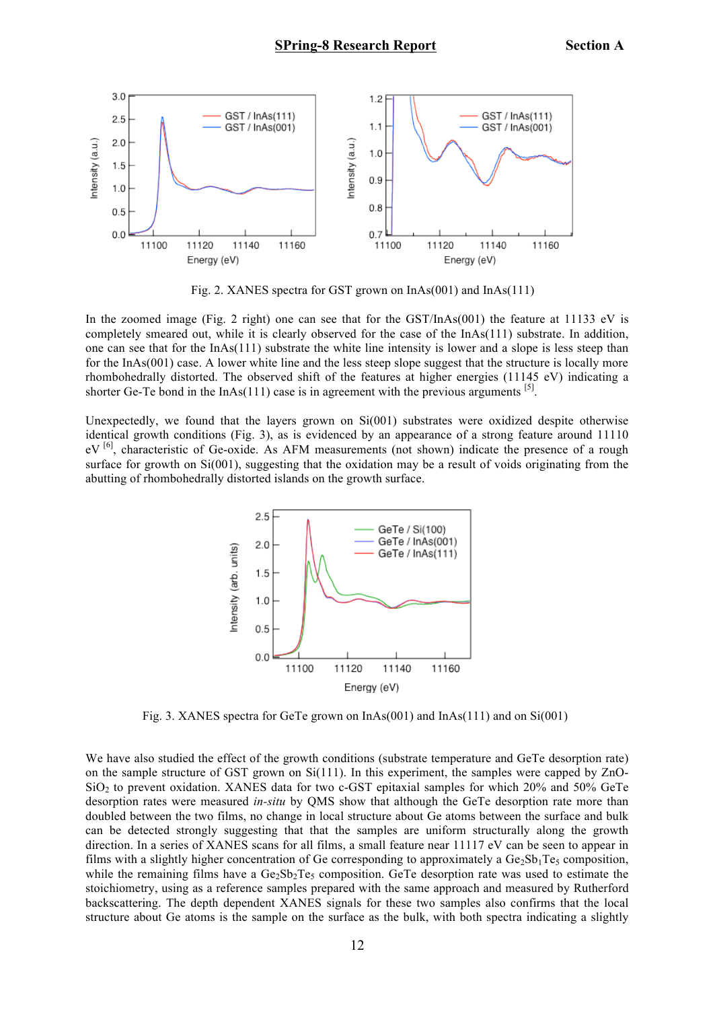

Fig. 2. XANES spectra for GST grown on InAs(001) and InAs(111)

In the zoomed image (Fig. 2 right) one can see that for the GST/InAs(001) the feature at 11133 eV is completely smeared out, while it is clearly observed for the case of the InAs(111) substrate. In addition, one can see that for the  $InAs(111)$  substrate the white line intensity is lower and a slope is less steep than for the InAs(001) case. A lower white line and the less steep slope suggest that the structure is locally more rhombohedrally distorted. The observed shift of the features at higher energies (11145 eV) indicating a shorter Ge-Te bond in the InAs(111) case is in agreement with the previous arguments <sup>[5]</sup>.

Unexpectedly, we found that the layers grown on Si(001) substrates were oxidized despite otherwise identical growth conditions (Fig. 3), as is evidenced by an appearance of a strong feature around 11110 eV<sup>[6]</sup>, characteristic of Ge-oxide. As AFM measurements (not shown) indicate the presence of a rough surface for growth on  $Si(001)$ , suggesting that the oxidation may be a result of voids originating from the abutting of rhombohedrally distorted islands on the growth surface.



Fig. 3. XANES spectra for GeTe grown on  $InAs(001)$  and  $InAs(111)$  and on  $Si(001)$ 

We have also studied the effect of the growth conditions (substrate temperature and GeTe desorption rate) on the sample structure of GST grown on Si(111). In this experiment, the samples were capped by ZnO- $SiO<sub>2</sub>$  to prevent oxidation. XANES data for two c-GST epitaxial samples for which 20% and 50% GeTe desorption rates were measured *in-situ* by QMS show that although the GeTe desorption rate more than doubled between the two films, no change in local structure about Ge atoms between the surface and bulk can be detected strongly suggesting that that the samples are uniform structurally along the growth direction. In a series of XANES scans for all films, a small feature near 11117 eV can be seen to appear in films with a slightly higher concentration of Ge corresponding to approximately a  $Ge_2Sb_1Te_5$  composition, while the remaining films have a  $Ge_2Sb_2Te_5$  composition. GeTe desorption rate was used to estimate the stoichiometry, using as a reference samples prepared with the same approach and measured by Rutherford backscattering. The depth dependent XANES signals for these two samples also confirms that the local structure about Ge atoms is the sample on the surface as the bulk, with both spectra indicating a slightly